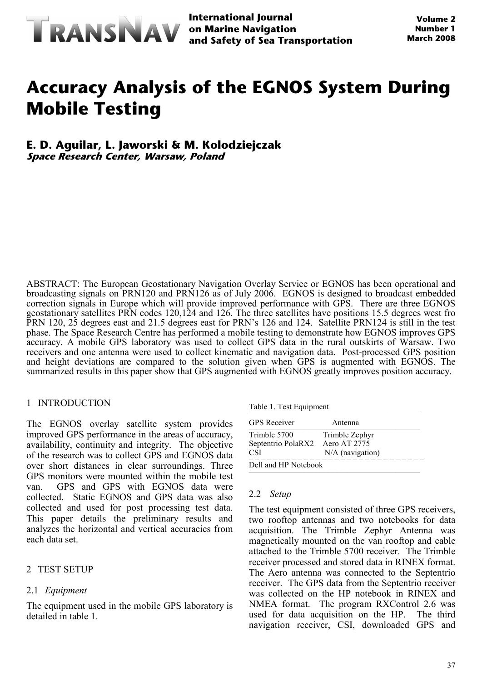

**International Journal and Safety of Sea Transportation**

# **Accuracy Analysis of the EGNOS System During Mobile Testing**

## **E. D. Aguilar, L. Jaworski & M. Kolodziejczak Space Research Center, Warsaw, Poland**

ABSTRACT: The European Geostationary Navigation Overlay Service or EGNOS has been operational and broadcasting signals on PRN120 and PRN126 as of July 2006. EGNOS is designed to broadcast embedded correction signals in Europe which will provide improved performance with GPS. There are three EGNOS geostationary satellites PRN codes 120,124 and 126. The three satellites have positions 15.5 degrees west fro PRN 120, 25 degrees east and 21.5 degrees east for PRN's 126 and 124. Satellite PRN124 is still in the test phase. The Space Research Centre has performed a mobile testing to demonstrate how EGNOS improves GPS accuracy. A mobile GPS laboratory was used to collect GPS data in the rural outskirts of Warsaw. Two receivers and one antenna were used to collect kinematic and navigation data. Post-processed GPS position and height deviations are compared to the solution given when GPS is augmented with EGNOS. The summarized results in this paper show that GPS augmented with EGNOS greatly improves position accuracy.

### 1 INTRODUCTION

The EGNOS overlay satellite system provides improved GPS performance in the areas of accuracy, availability, continuity and integrity. The objective of the research was to collect GPS and EGNOS data over short distances in clear surroundings. Three GPS monitors were mounted within the mobile test van. GPS and GPS with EGNOS data were collected. Static EGNOS and GPS data was also collected and used for post processing test data. This paper details the preliminary results and analyzes the horizontal and vertical accuracies from each data set.

### 2 TEST SETUP

### 2.1 *Equipment*

The equipment used in the mobile GPS laboratory is detailed in table 1.

| Table 1. Test Equipment |  |
|-------------------------|--|
|-------------------------|--|

| rable 1. rest equipment |                    |  |  |  |
|-------------------------|--------------------|--|--|--|
| <b>GPS</b> Receiver     | Antenna            |  |  |  |
| Trimble 5700            | Trimble Zephyr     |  |  |  |
| Septentrio PolaRX2      | Aero AT 2775       |  |  |  |
| <b>CSI</b>              | $N/A$ (navigation) |  |  |  |
| Dell and HP Notebook    |                    |  |  |  |

### 2.2 *Setup*

The test equipment consisted of three GPS receivers, two rooftop antennas and two notebooks for data acquisition. The Trimble Zephyr Antenna was magnetically mounted on the van rooftop and cable attached to the Trimble 5700 receiver. The Trimble receiver processed and stored data in RINEX format. The Aero antenna was connected to the Septentrio receiver. The GPS data from the Septentrio receiver was collected on the HP notebook in RINEX and NMEA format. The program RXControl 2.6 was used for data acquisition on the HP. The third navigation receiver, CSI, downloaded GPS and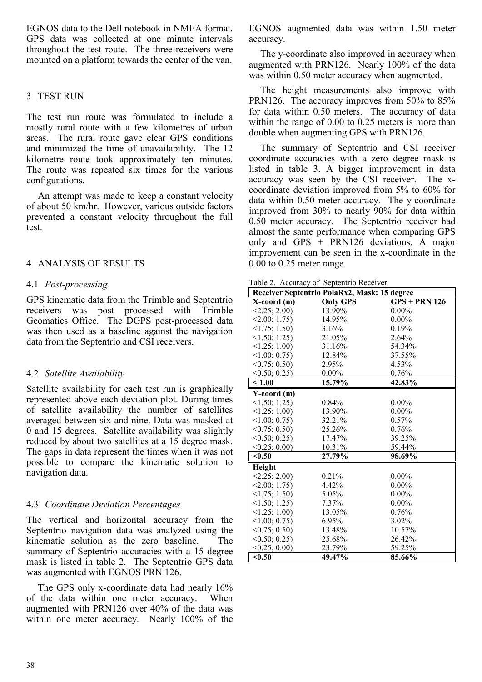EGNOS data to the Dell notebook in NMEA format. GPS data was collected at one minute intervals throughout the test route. The three receivers were mounted on a platform towards the center of the van.

# 3 TEST RUN

The test run route was formulated to include a mostly rural route with a few kilometres of urban areas. The rural route gave clear GPS conditions and minimized the time of unavailability. The 12 kilometre route took approximately ten minutes. The route was repeated six times for the various configurations.

An attempt was made to keep a constant velocity of about 50 km/hr. However, various outside factors prevented a constant velocity throughout the full test.

## 4 ANALYSIS OF RESULTS

### 4.1 *Post-processing*

GPS kinematic data from the Trimble and Septentrio receivers was post processed with Trimble Geomatics Office. The DGPS post-processed data was then used as a baseline against the navigation data from the Septentrio and CSI receivers.

### 4.2 *Satellite Availability*

Satellite availability for each test run is graphically represented above each deviation plot. During times of satellite availability the number of satellites averaged between six and nine. Data was masked at 0 and 15 degrees. Satellite availability was slightly reduced by about two satellites at a 15 degree mask. The gaps in data represent the times when it was not possible to compare the kinematic solution to navigation data.

# 4.3 *Coordinate Deviation Percentages*

The vertical and horizontal accuracy from the Septentrio navigation data was analyzed using the kinematic solution as the zero baseline. The summary of Septentrio accuracies with a 15 degree mask is listed in table 2. The Septentrio GPS data was augmented with EGNOS PRN 126.

The GPS only x-coordinate data had nearly 16% of the data within one meter accuracy. When augmented with PRN126 over 40% of the data was within one meter accuracy. Nearly 100% of the EGNOS augmented data was within 1.50 meter accuracy.

The y-coordinate also improved in accuracy when augmented with PRN126. Nearly 100% of the data was within 0.50 meter accuracy when augmented.

The height measurements also improve with PRN126. The accuracy improves from 50% to 85% for data within 0.50 meters. The accuracy of data within the range of 0.00 to 0.25 meters is more than double when augmenting GPS with PRN126.

The summary of Septentrio and CSI receiver coordinate accuracies with a zero degree mask is listed in table 3. A bigger improvement in data accuracy was seen by the CSI receiver. The xcoordinate deviation improved from 5% to 60% for data within 0.50 meter accuracy. The y-coordinate improved from 30% to nearly 90% for data within 0.50 meter accuracy. The Septentrio receiver had almost the same performance when comparing GPS only and GPS + PRN126 deviations. A major improvement can be seen in the x-coordinate in the 0.00 to 0.25 meter range.

|  |  |  |  | Table 2. Accuracy of Septentrio Receiver |  |
|--|--|--|--|------------------------------------------|--|
|--|--|--|--|------------------------------------------|--|

| Receiver Septentrio PolaRx2, Mask: 15 degree |                 |                 |  |  |
|----------------------------------------------|-----------------|-----------------|--|--|
| X-coord (m)                                  | <b>Only GPS</b> | $GPS + PRN 126$ |  |  |
| <2.25; 2.00                                  | 13.90%          | $0.00\%$        |  |  |
| <2.00; 1.75                                  | 14.95%          | $0.00\%$        |  |  |
| $\leq$ 1.75; 1.50)                           | 3.16%           | 0.19%           |  |  |
| $\leq$ 1.50; 1.25)                           | 21.05%          | 2.64%           |  |  |
| $\leq$ 1.25; 1.00)                           | 31.16%          | 54.34%          |  |  |
| $\leq 1.00; 0.75$                            | 12.84%          | 37.55%          |  |  |
| <0.75; 0.50                                  | 2.95%           | 4.53%           |  |  |
| <0.50; 0.25                                  | $0.00\%$        | 0.76%           |  |  |
| < 1.00                                       | 15.79%          | 42.83%          |  |  |
| Y-coord (m)                                  |                 |                 |  |  |
| $\leq$ 1.50; 1.25)                           | 0.84%           | $0.00\%$        |  |  |
| $\leq$ 1.25; 1.00)                           | 13.90%          | $0.00\%$        |  |  |
| <1.00; 0.75                                  | 32.21%          | 0.57%           |  |  |
| <0.75; 0.50                                  | 25.26%          | 0.76%           |  |  |
| $<$ 0.50; 0.25)                              | 17.47%          | 39.25%          |  |  |
| <0.25; 0.00                                  | 10.31%          | 59.44%          |  |  |
| < 0.50                                       | 27.79%          | 98.69%          |  |  |
| Height                                       |                 |                 |  |  |
| <2.25; 2.00                                  | 0.21%           | $0.00\%$        |  |  |
| <2.00; 1.75                                  | 4.42%           | $0.00\%$        |  |  |
| $\leq$ 1.75; 1.50)                           | 5.05%           | $0.00\%$        |  |  |
| $\leq$ 1.50; 1.25)                           | 7.37%           | $0.00\%$        |  |  |
| <1.25; 1.00                                  | 13.05%          | 0.76%           |  |  |
| $\leq 1.00; 0.75$                            | 6.95%           | 3.02%           |  |  |
| <0.75; 0.50                                  | 13.48%          | 10.57%          |  |  |
| <0.50; 0.25                                  | 25.68%          | 26.42%          |  |  |
| <0.25; 0.00                                  | 23.79%          | 59.25%          |  |  |
| < 0.50                                       | 49.47%          | 85.66%          |  |  |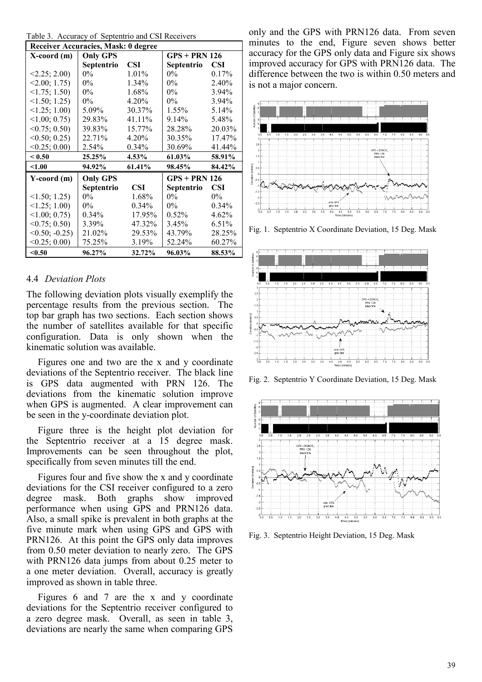| Receiver Accuracies, Mask: 0 degree |                 |            |                 |            |  |
|-------------------------------------|-----------------|------------|-----------------|------------|--|
| X-coord (m)                         | <b>Only GPS</b> |            | $GPS + PRN 126$ |            |  |
|                                     | Septentrio      | <b>CSI</b> | Septentrio      | <b>CSI</b> |  |
| <2.25; 2.00                         | $0\%$           | $1.01\%$   | $0\%$           | 0.17%      |  |
| <2.00; 1.75                         | $0\%$           | 1.34%      | $0\%$           | 2.40%      |  |
| $\leq$ 1.75; 1.50)                  | $0\%$           | 1.68%      | $0\%$           | $3.94\%$   |  |
| $\leq$ 1.50; 1.25)                  | $0\%$           | 4.20%      | $0\%$           | 3.94%      |  |
| $\leq$ 1.25; 1.00)                  | 5.09%           | 30.37%     | 1.55%           | 5.14%      |  |
| $\leq 1.00; 0.75$                   | 29.83%          | 41.11%     | 9.14%           | 5.48%      |  |
| <0.75; 0.50                         | 39.83%          | 15.77%     | 28.28%          | 20.03%     |  |
| <0.50; 0.25                         | 22.71%          | 4.20%      | 30.35%          | 17.47%     |  |
| <0.25; 0.00                         | 2.54%           | $0.34\%$   | 30.69%          | 41.44%     |  |
| < 0.50                              | 25.25%          | 4.53%      | 61.03%          | 58.91%     |  |
| < 1.00                              | 94.92%          | 61.41%     | 98.45%          | 84.42%     |  |
| $Y$ -coord $(m)$                    | <b>Only GPS</b> |            | $GPS + PRN 126$ |            |  |
|                                     | Septentrio      | CSI        | Septentrio      | <b>CSI</b> |  |
| $\leq$ 1.50; 1.25)                  | $0\%$           | 1.68%      | $0\%$           | $0\%$      |  |
| $\leq$ 1.25; 1.00)                  | $0\%$           | $0.34\%$   | $0\%$           | $0.34\%$   |  |
| $\leq 1.00; 0.75$                   | $0.34\%$        | 17.95%     | $0.52\%$        | 4.62%      |  |
| $\leq 0.75$ ; 0.50)                 | 3.39%           | 47.32%     | 3.45%           | 6.51%      |  |
| $< 0.50; -0.25$                     | 21.02%          | 29.53%     | 43.79%          | 28.25%     |  |
| <0.25; 0.00                         | 75.25%          | 3.19%      | 52.24%          | 60.27%     |  |
| < 0.50                              | 96.27%          | 32.72%     | 96.03%          | 88.53%     |  |

#### 4.4 *Deviation Plots*

The following deviation plots visually exemplify the percentage results from the previous section. The top bar graph has two sections. Each section shows the number of satellites available for that specific configuration. Data is only shown when the kinematic solution was available.

Figures one and two are the x and y coordinate deviations of the Septentrio receiver. The black line is GPS data augmented with PRN 126. The deviations from the kinematic solution improve when GPS is augmented. A clear improvement can be seen in the y-coordinate deviation plot.

Figure three is the height plot deviation for the Septentrio receiver at a 15 degree mask. Improvements can be seen throughout the plot, specifically from seven minutes till the end.

Figures four and five show the x and y coordinate deviations for the CSI receiver configured to a zero degree mask. Both graphs show improved performance when using GPS and PRN126 data. Also, a small spike is prevalent in both graphs at the five minute mark when using GPS and GPS with PRN126. At this point the GPS only data improves from 0.50 meter deviation to nearly zero. The GPS with PRN126 data jumps from about 0.25 meter to a one meter deviation. Overall, accuracy is greatly improved as shown in table three.

Figures 6 and 7 are the x and y coordinate deviations for the Septentrio receiver configured to a zero degree mask. Overall, as seen in table 3, deviations are nearly the same when comparing GPS

only and the GPS with PRN126 data. From seven minutes to the end, Figure seven shows better accuracy for the GPS only data and Figure six shows improved accuracy for GPS with PRN126 data. The difference between the two is within 0.50 meters and is not a major concern.



Fig. 1. Septentrio X Coordinate Deviation, 15 Deg. Mask



Fig. 2. Septentrio Y Coordinate Deviation, 15 Deg. Mask



Fig. 3. Septentrio Height Deviation, 15 Deg. Mask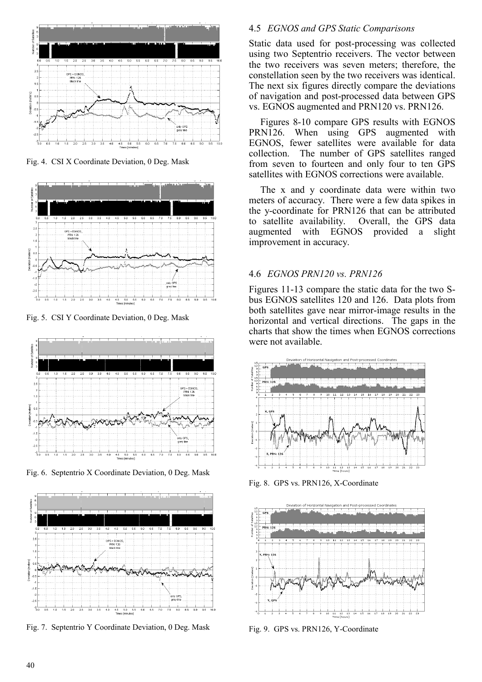

Fig. 4. CSI X Coordinate Deviation, 0 Deg. Mask



Fig. 5. CSI Y Coordinate Deviation, 0 Deg. Mask



Fig. 6. Septentrio X Coordinate Deviation, 0 Deg. Mask



Fig. 7. Septentrio Y Coordinate Deviation, 0 Deg. Mask

## 4.5 *EGNOS and GPS Static Comparisons*

Static data used for post-processing was collected using two Septentrio receivers. The vector between the two receivers was seven meters; therefore, the constellation seen by the two receivers was identical. The next six figures directly compare the deviations of navigation and post-processed data between GPS vs. EGNOS augmented and PRN120 vs. PRN126.

Figures 8-10 compare GPS results with EGNOS PRN126. When using GPS augmented with EGNOS, fewer satellites were available for data collection. The number of GPS satellites ranged from seven to fourteen and only four to ten GPS satellites with EGNOS corrections were available.

The x and y coordinate data were within two meters of accuracy. There were a few data spikes in the y-coordinate for PRN126 that can be attributed to satellite availability. Overall, the GPS data augmented with EGNOS provided a slight improvement in accuracy.

# 4.6 *EGNOS PRN120 vs. PRN126*

Figures 11-13 compare the static data for the two Sbus EGNOS satellites 120 and 126. Data plots from both satellites gave near mirror-image results in the horizontal and vertical directions. The gaps in the charts that show the times when EGNOS corrections were not available.



Fig. 8. GPS vs. PRN126, X-Coordinate



Fig. 9. GPS vs. PRN126, Y-Coordinate